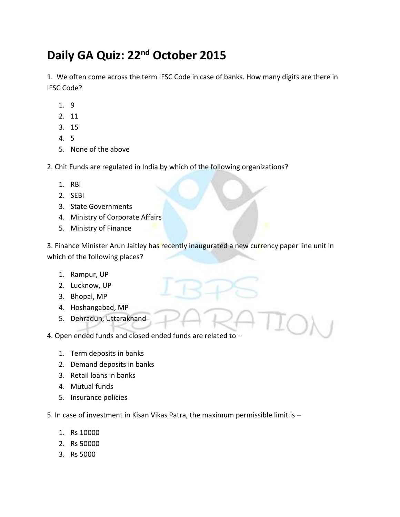## **Daily GA Quiz: 22nd October 2015**

1. We often come across the term IFSC Code in case of banks. How many digits are there in IFSC Code?

- 1. 9
- 2. 11
- 3. 15
- 4. 5
- 5. None of the above

2. Chit Funds are regulated in India by which of the following organizations?

- 1. RBI
- 2. SEBI
- 3. State Governments
- 4. Ministry of Corporate Affairs
- 5. Ministry of Finance

3. Finance Minister Arun Jaitley has recently inaugurated a new currency paper line unit in which of the following places?

- 1. Rampur, UP
- 2. Lucknow, UP
- 3. Bhopal, MP
- 4. Hoshangabad, MP
- 5. Dehradun, Uttarakhand

4. Open ended funds and closed ended funds are related to –

- 1. Term deposits in banks
- 2. Demand deposits in banks
- 3. Retail loans in banks
- 4. Mutual funds
- 5. Insurance policies

5. In case of investment in Kisan Vikas Patra, the maximum permissible limit is –

- 1. Rs 10000
- 2. Rs 50000
- 3. Rs 5000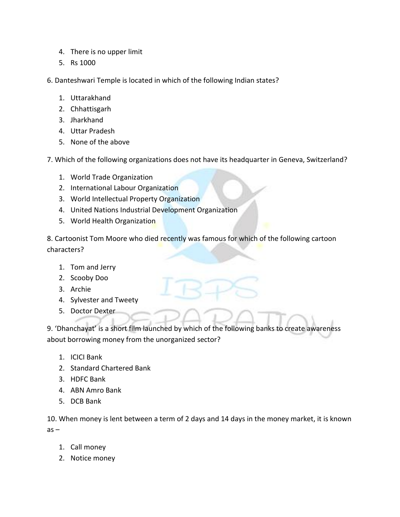- 4. There is no upper limit
- 5. Rs 1000

6. Danteshwari Temple is located in which of the following Indian states?

- 1. Uttarakhand
- 2. Chhattisgarh
- 3. Jharkhand
- 4. Uttar Pradesh
- 5. None of the above
- 7. Which of the following organizations does not have its headquarter in Geneva, Switzerland?
	- 1. World Trade Organization
	- 2. International Labour Organization
	- 3. World Intellectual Property Organization
	- 4. United Nations Industrial Development Organization
	- 5. World Health Organization

8. Cartoonist Tom Moore who died recently was famous for which of the following cartoon characters?

- 1. Tom and Jerry
- 2. Scooby Doo
- 3. Archie
- 4. Sylvester and Tweety
- 5. Doctor Dexter

9. 'Dhanchayat' is a short film launched by which of the following banks to create awareness about borrowing money from the unorganized sector?

- 1. ICICI Bank
- 2. Standard Chartered Bank
- 3. HDFC Bank
- 4. ABN Amro Bank
- 5. DCB Bank

10. When money is lent between a term of 2 days and 14 days in the money market, it is known  $as -$ 

- 1. Call money
- 2. Notice money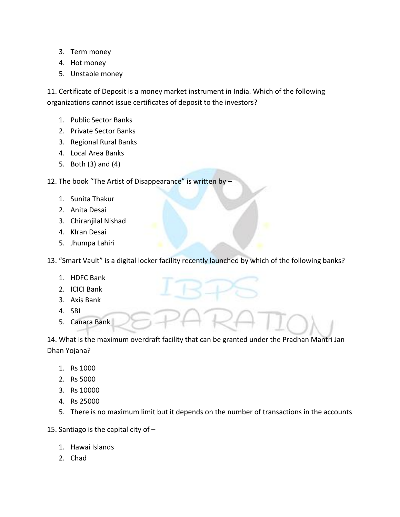- 3. Term money
- 4. Hot money
- 5. Unstable money

11. Certificate of Deposit is a money market instrument in India. Which of the following organizations cannot issue certificates of deposit to the investors?

- 1. Public Sector Banks
- 2. Private Sector Banks
- 3. Regional Rural Banks
- 4. Local Area Banks
- 5. Both (3) and (4)

12. The book "The Artist of Disappearance" is written by -

- 1. Sunita Thakur
- 2. Anita Desai
- 3. Chiranjilal Nishad
- 4. KIran Desai
- 5. Jhumpa Lahiri

13. "Smart Vault" is a digital locker facility recently launched by which of the following banks?

- 1. HDFC Bank
- 2. ICICI Bank
- 3. Axis Bank
- 4. SBI
- 5. Canara Bank

14. What is the maximum overdraft facility that can be granted under the Pradhan Mantri Jan Dhan Yojana?

- 1. Rs 1000
- 2. Rs 5000
- 3. Rs 10000
- 4. Rs 25000
- 5. There is no maximum limit but it depends on the number of transactions in the accounts
- 15. Santiago is the capital city of
	- 1. Hawai Islands
	- 2. Chad